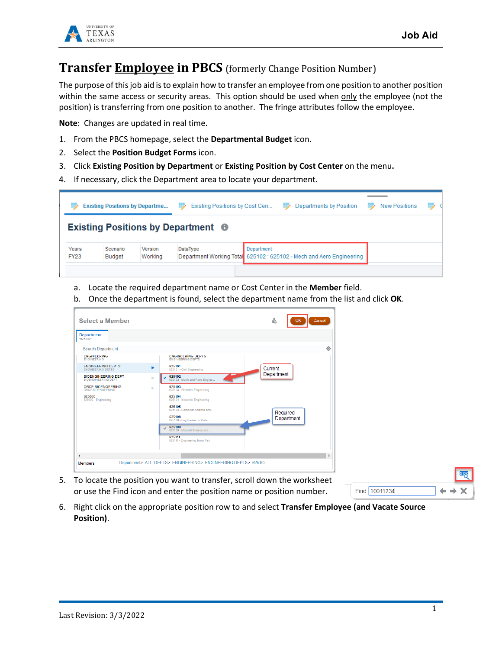

## **Transfer Employee in PBCS** (formerly Change Position Number)

The purpose of this job aid is to explain how to transfer an employee from one position to another position within the same access or security areas. This option should be used when only the employee (not the position) is transferring from one position to another. The fringe attributes follow the employee.

**Note**: Changes are updated in real time.

- 1. From the PBCS homepage, select the **Departmental Budget** icon.
- 2. Select the **Position Budget Forms** icon.
- 3. Click **Existing Position by Department** or **Existing Position by Cost Center** on the menu**.**
- 4. If necessary, click the Department area to locate your department.



- a. Locate the required department name or Cost Center in the **Member** field.
- b. Once the department is found, select the department name from the list and click **OK**.

| <b>Select a Member</b>                                   |                                     |                                                               | ĥ<br>Cancel<br>OK      |
|----------------------------------------------------------|-------------------------------------|---------------------------------------------------------------|------------------------|
| <b>Department</b><br>"625102"                            |                                     |                                                               |                        |
| <b>Search Department</b>                                 |                                     |                                                               | 壺                      |
| <b>ENGINEERING</b><br><b>ENGINEERING</b>                 |                                     | <b>ENGINEERING DEPTS</b><br><b>ENGINEERING DEPTS</b>          |                        |
| <b>ENGINEERING DEPTS</b><br><b>ENGINEERING DEPTS</b>     | ٠                                   | 625101<br>625101 - Civil Engineering                          | Current                |
| <b>BIOENGINEERING DEPT</b><br><b>BIOENGINEERING DEPT</b> | $\mathbb{R} \rightarrow \mathbb{R}$ | 625102<br>625102 - Mech and Aero Engine                       | Department             |
| <b>ORCE BIOENGEERING</b><br><b>ORCE BIOENGEERING</b>     | ь                                   | 625103<br>625103 - Electrical Engineering                     |                        |
| 625000<br>625000 - Engineering                           |                                     | 625104<br>625104 - Industrial Engineering                     |                        |
|                                                          |                                     | 625105<br>625105 - Computer Science and                       |                        |
|                                                          |                                     | 625108<br>625108 - Eng Center for Dista                       | Required<br>Department |
|                                                          |                                     | 625109<br>625109 - Material Science and                       |                        |
|                                                          |                                     | 625111<br>625111 - Engineering Nano Fab                       |                        |
|                                                          |                                     |                                                               |                        |
|                                                          |                                     |                                                               |                        |
| <b>Members</b>                                           |                                     | Department> ALL DEPTS> ENGINEERING> ENGINEERING DEPTS> 625102 |                        |

5. To locate the position you want to transfer, scroll down the worksheet or use the Find icon and enter the position name or position number.

| Find 10011234 |  |  |
|---------------|--|--|

6. Right click on the appropriate position row to and select **Transfer Employee (and Vacate Source Position)**.